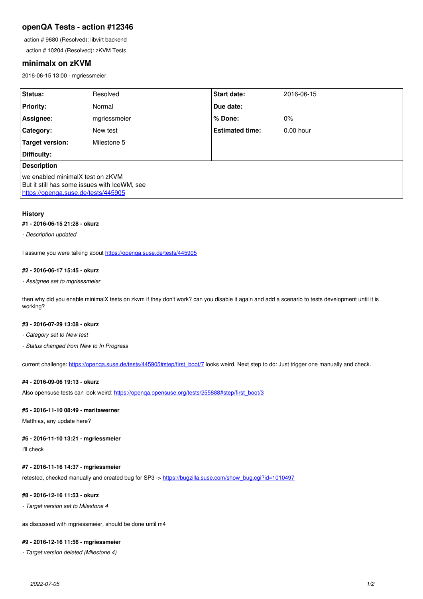# **openQA Tests - action #12346**

action # 9680 (Resolved): libvirt backend

action # 10204 (Resolved): zKVM Tests

## **minimalx on zKVM**

2016-06-15 13:00 - mgriessmeier

| Status:                                                                                                                 | Resolved     | <b>Start date:</b>     | 2016-06-15  |
|-------------------------------------------------------------------------------------------------------------------------|--------------|------------------------|-------------|
| <b>Priority:</b>                                                                                                        | Normal       | Due date:              |             |
| Assignee:                                                                                                               | mgriessmeier | % Done:                | $0\%$       |
| <b>Category:</b>                                                                                                        | New test     | <b>Estimated time:</b> | $0.00$ hour |
| Target version:                                                                                                         | Milestone 5  |                        |             |
| Difficulty:                                                                                                             |              |                        |             |
| <b>Description</b>                                                                                                      |              |                        |             |
| we enabled minimalX test on zKVM<br>But it still has some issues with IceWM, see<br>https://openga.suse.de/tests/445905 |              |                        |             |

## **History**

## **#1 - 2016-06-15 21:28 - okurz**

*- Description updated*

I assume you were talking about<https://openqa.suse.de/tests/445905>

## **#2 - 2016-06-17 15:45 - okurz**

#### *- Assignee set to mgriessmeier*

then why did you enable minimalX tests on zkvm if they don't work? can you disable it again and add a scenario to tests development until it is working?

## **#3 - 2016-07-29 13:08 - okurz**

*- Category set to New test*

*- Status changed from New to In Progress*

current challenge: [https://openqa.suse.de/tests/445905#step/first\\_boot/7](https://openqa.suse.de/tests/445905#step/first_boot/7) looks weird. Next step to do: Just trigger one manually and check.

### **#4 - 2016-09-06 19:13 - okurz**

Also opensuse tests can look weird: [https://openqa.opensuse.org/tests/255888#step/first\\_boot/3](https://openqa.opensuse.org/tests/255888#step/first_boot/3)

#### **#5 - 2016-11-10 08:49 - maritawerner**

Matthias, any update here?

### **#6 - 2016-11-10 13:21 - mgriessmeier**

I'll check

## **#7 - 2016-11-16 14:37 - mgriessmeier**

retested, checked manually and created bug for SP3 -> [https://bugzilla.suse.com/show\\_bug.cgi?id=1010497](https://bugzilla.suse.com/show_bug.cgi?id=1010497)

# **#8 - 2016-12-16 11:53 - okurz**

*- Target version set to Milestone 4*

as discussed with mgriessmeier, should be done until m4

# **#9 - 2016-12-16 11:56 - mgriessmeier**

*- Target version deleted (Milestone 4)*